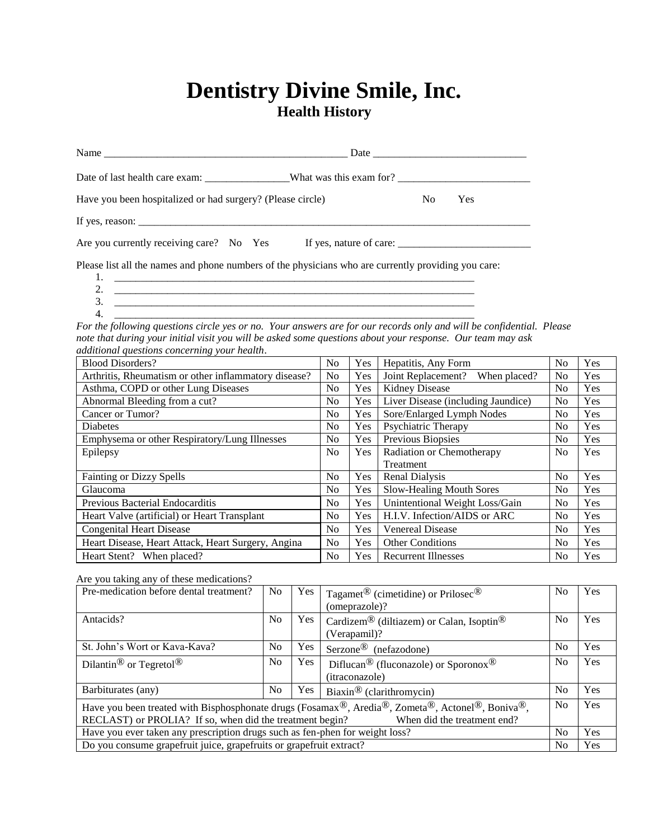## **Dentistry Divine Smile, Inc. Health History**

| Have you been hospitalized or had surgery? (Please circle)                                                                                                                                                                                                                         |     | N <sub>o</sub>            | Yes |     |     |
|------------------------------------------------------------------------------------------------------------------------------------------------------------------------------------------------------------------------------------------------------------------------------------|-----|---------------------------|-----|-----|-----|
|                                                                                                                                                                                                                                                                                    |     |                           |     |     |     |
| Are you currently receiving care? No Yes If yes, nature of care:                                                                                                                                                                                                                   |     |                           |     |     |     |
| Please list all the names and phone numbers of the physicians who are currently providing you care:                                                                                                                                                                                |     |                           |     |     |     |
| 2. $\overline{\phantom{a}}$<br>3.<br>4.<br><u> 1980 - Jan James James Barbara, martin da kasar Indonesia.</u>                                                                                                                                                                      |     |                           |     |     |     |
| For the following questions circle yes or no. Your answers are for our records only and will be confidential. Please<br>note that during your initial visit you will be asked some questions about your response. Our team may ask<br>additional questions concerning your health. |     |                           |     |     |     |
| <b>Blood Disorders?</b>                                                                                                                                                                                                                                                            | No. | Yes   Hepatitis, Any Form |     | No. | Yes |

| <b>Blood Disorders?</b>                              | No.            | Yes | Hepatitis, Any Form                | N <sub>0</sub> | Yes |
|------------------------------------------------------|----------------|-----|------------------------------------|----------------|-----|
| Arthritis, Rheumatism or other inflammatory disease? | No.            | Yes | Joint Replacement? When placed?    | N <sub>0</sub> | Yes |
| Asthma, COPD or other Lung Diseases                  | No.            | Yes | <b>Kidney Disease</b>              | N <sub>0</sub> | Yes |
| Abnormal Bleeding from a cut?                        | N <sub>o</sub> | Yes | Liver Disease (including Jaundice) | N <sub>0</sub> | Yes |
| Cancer or Tumor?                                     | No.            | Yes | Sore/Enlarged Lymph Nodes          | N <sub>0</sub> | Yes |
| <b>Diabetes</b>                                      | N <sub>0</sub> | Yes | Psychiatric Therapy                | N <sub>0</sub> | Yes |
| Emphysema or other Respiratory/Lung Illnesses        | N <sub>o</sub> | Yes | Previous Biopsies                  | No             | Yes |
| Epilepsy                                             | N <sub>0</sub> | Yes | Radiation or Chemotherapy          | N <sub>0</sub> | Yes |
|                                                      |                |     | Treatment                          |                |     |
| <b>Fainting or Dizzy Spells</b>                      | N <sub>o</sub> | Yes | Renal Dialysis                     | No             | Yes |
| Glaucoma                                             | N <sub>0</sub> | Yes | Slow-Healing Mouth Sores           | N <sub>0</sub> | Yes |
| Previous Bacterial Endocarditis                      | N <sub>o</sub> | Yes | Unintentional Weight Loss/Gain     | N <sub>0</sub> | Yes |
| Heart Valve (artificial) or Heart Transplant         | No.            | Yes | H.I.V. Infection/AIDS or ARC       | N <sub>0</sub> | Yes |
| <b>Congenital Heart Disease</b>                      | No.            | Yes | <b>Venereal Disease</b>            | N <sub>0</sub> | Yes |
| Heart Disease, Heart Attack, Heart Surgery, Angina   | N <sub>o</sub> | Yes | <b>Other Conditions</b>            | No             | Yes |
| Heart Stent? When placed?                            | N <sub>0</sub> | Yes | <b>Recurrent Illnesses</b>         | N <sub>0</sub> | Yes |

Are you taking any of these medications?

| Pre-medication before dental treatment?                                                                                                                                                                                                                     | N <sub>0</sub> | <b>Yes</b> | Tagamet <sup>®</sup> (cimetidine) or Prilosec <sup>®</sup><br>(omeprazole)?    | No             | <b>Yes</b> |
|-------------------------------------------------------------------------------------------------------------------------------------------------------------------------------------------------------------------------------------------------------------|----------------|------------|--------------------------------------------------------------------------------|----------------|------------|
| Antacids?                                                                                                                                                                                                                                                   | N <sub>0</sub> | Yes.       | Cardizem® (diltiazem) or Calan, Isoptin <sup>®</sup><br>(Verapamil)?           | No             | <b>Yes</b> |
| St. John's Wort or Kava-Kava?                                                                                                                                                                                                                               | N <sub>0</sub> | Yes        | Serzone <sup>®</sup> (nefazodone)                                              | No             | <b>Yes</b> |
| Dilantin <sup>®</sup> or Tegretol <sup>®</sup>                                                                                                                                                                                                              | N <sub>0</sub> | Yes.       | Diflucan <sup>®</sup> (fluconazole) or Sporonox <sup>®</sup><br>(itraconazole) | N <sub>0</sub> | Yes        |
| Barbiturates (any)                                                                                                                                                                                                                                          | N <sub>0</sub> | Yes        | Biaxin <sup>®</sup> (clarithromycin)                                           | N <sub>0</sub> | <b>Yes</b> |
| Have you been treated with Bisphosphonate drugs (Fosamax <sup>®</sup> , Aredia <sup>®</sup> , Zometa <sup>®</sup> , Actonel <sup>®</sup> , Boniva <sup>®</sup> ,<br>RECLAST) or PROLIA? If so, when did the treatment begin?<br>When did the treatment end? |                |            |                                                                                |                | <b>Yes</b> |
| Have you ever taken any prescription drugs such as fen-phen for weight loss?                                                                                                                                                                                |                |            |                                                                                |                | <b>Yes</b> |
| Do you consume grapefruit juice, grapefruits or grapefruit extract?<br>N <sub>0</sub>                                                                                                                                                                       |                |            |                                                                                |                | <b>Yes</b> |